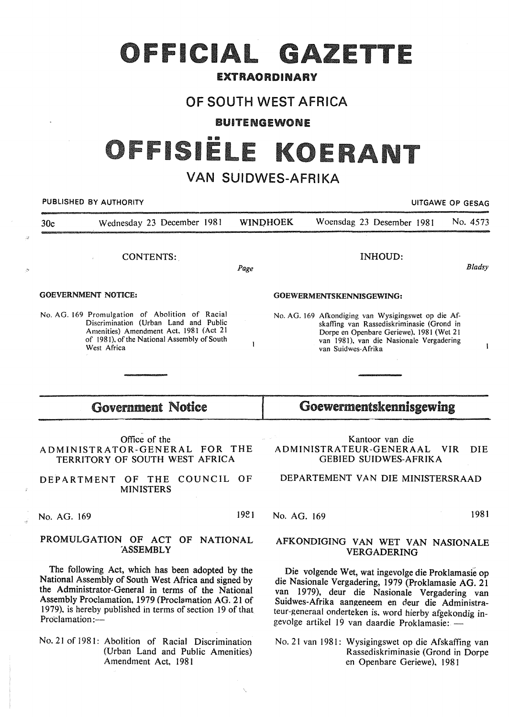# OFFICIAL GAZETTE

### EXTRAORDINARY

## OF SOUTH WEST AFRICA

BUITENGEWONE

# ISIËLE KOEI

## VAN SUIDWES-AFRIKA

| PUBLISHED BY AUTHORITY   |                                                                                                                                                                                                                                                                                    |      |                         |                                                         | UITGAWE OP GESAG                                                                                                                                                                                               |  |            |              |  |
|--------------------------|------------------------------------------------------------------------------------------------------------------------------------------------------------------------------------------------------------------------------------------------------------------------------------|------|-------------------------|---------------------------------------------------------|----------------------------------------------------------------------------------------------------------------------------------------------------------------------------------------------------------------|--|------------|--------------|--|
| 30 <sub>c</sub>          | Wednesday 23 December 1981                                                                                                                                                                                                                                                         |      | <b>WINDHOEK</b>         |                                                         | Woensdag 23 Desember 1981                                                                                                                                                                                      |  |            | No. 4573     |  |
|                          | CONTENTS:                                                                                                                                                                                                                                                                          | Page |                         |                                                         | <b>INHOUD:</b>                                                                                                                                                                                                 |  |            | Bladsy       |  |
|                          | <b>GOEVERNMENT NOTICE:</b>                                                                                                                                                                                                                                                         |      |                         | GOEWERMENTSKENNISGEWING:                                |                                                                                                                                                                                                                |  |            |              |  |
|                          | No. AG. 169 Promulgation of Abolition of Racial<br>Discrimination (Urban Land and Public<br>Amenities) Amendment Act, 1981 (Act 21<br>of 1981), of the National Assembly of South<br>West Africa                                                                                   | 1    |                         | van Suidwes-Afrika                                      | No. AG. 169 Afkondiging van Wysigingswet op die Af-<br>skaffing van Rassediskriminasie (Grond in<br>Dorpe en Openbare Geriewe), 1981 (Wet 21<br>van 1981), van die Nasionale Vergadering                       |  |            | $\mathbf{I}$ |  |
|                          |                                                                                                                                                                                                                                                                                    |      |                         |                                                         |                                                                                                                                                                                                                |  |            |              |  |
| <b>Government Notice</b> |                                                                                                                                                                                                                                                                                    |      | Goewermentskennisgewing |                                                         |                                                                                                                                                                                                                |  |            |              |  |
|                          | Office of the<br>ADMINISTRATOR-GENERAL FOR THE<br>TERRITORY OF SOUTH WEST AFRICA                                                                                                                                                                                                   |      |                         |                                                         | Kantoor van die<br>ADMINISTRATEUR-GENERAAL<br><b>GEBIED SUIDWES-AFRIKA</b>                                                                                                                                     |  | <b>VIR</b> | <b>DIE</b>   |  |
|                          | COUNCIL OF<br>DEPARTMENT<br>OF THE<br><b>MINISTERS</b>                                                                                                                                                                                                                             |      |                         |                                                         | DEPARTEMENT VAN DIE MINISTERSRAAD                                                                                                                                                                              |  |            |              |  |
| No. AG. 169              |                                                                                                                                                                                                                                                                                    | 1981 | No. AG. 169             |                                                         |                                                                                                                                                                                                                |  |            | 1981         |  |
|                          | PROMULGATION OF ACT OF NATIONAL<br><b>ASSEMBLY</b>                                                                                                                                                                                                                                 |      |                         |                                                         | AFKONDIGING VAN WET VAN NASIONALE<br>VERGADERING                                                                                                                                                               |  |            |              |  |
|                          | The following Act, which has been adopted by the<br>National Assembly of South West Africa and signed by<br>the Administrator-General in terms of the National<br>Assembly Proclamation, 1979 (Proclamation AG. 21 of<br>1979), is hereby published in terms of section 19 of that |      |                         | teur-generaal onderteken is, word hierby afgekondig in- | Die volgende Wet, wat ingevolge die Proklamasie op<br>die Nasionale Vergadering, 1979 (Proklamasie AG. 21<br>van 1979), deur die Nasionale Vergadering van<br>Suidwes-Afrika aangeneem en deur die Administra- |  |            |              |  |

No. 21 of 1981: Abolition of Racial Discrimination (Urban Land and Public Amenities) Amendment Act, 1981

Proclamation:-

.<br>Se

No. 21 van 1981: Wysigingswet op die Afskaffing van Rassediskriminasie (Grond in Dorpe en Openbare Geriewe), 1981

gevolge artikel 19 van daardie Proklamasie: -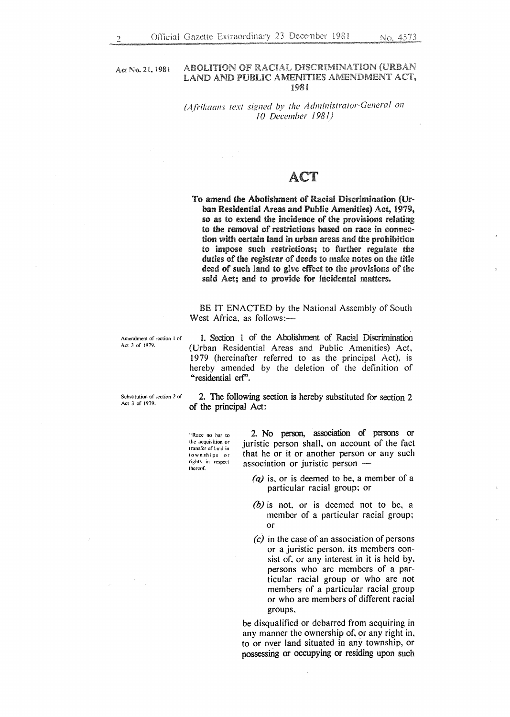Act No. 21, 1981

#### ABOLITION OF RACIAL DISCRIMINATION (URBAN LAND AND PUBLIC AMENITIES AMENDMENT ACT, 1981

#### *(Afrikaans text signed by the A dmioistrator-Genera!* <sup>011</sup> *10 December 1981)*

### ACT

To amend the Abolishment of Racial Discrimination (Urban Residential Areas and Public Amenities) Act, 1979, so as to extend the incidence of the provisions relating to the removal of restrictions based on race in connection with certain land in urban areas and the prohibition to impose such restrictions; to further regulate the duties of the registrar of deeds to make notes on the title deed of such land to give effect to the provisions of the said Act; and to provide for incidental matters.

BE IT ENACTED by the National Assembly of South West Africa, as follows:-

**Amendment of section I of**  Act *3* of 1979.

1. Section 1 of the Abolishment of Racial Discrimination (Urban Residential Areas and Public Amenities) Act. 1979 (hereinafter referred to as the principal Act), is hereby amended by the deletion of the definition of "residential erf".

**Substitution of section 2 of**  Act 3 of 1979.

2. The following section is hereby substituted for section 2 of the principal Act:

.. **Race no bar to the acquisition or**  transfer of land in **townships or rights in respect**  thereof.

2 No person, association of persons or juristic person shall, on account of the fact that he or it or another person or any such association or juristic person  $-$ 

- *(a)* is. or is deemed to be, a member of a particular racial group; or
- *(b)* is not, or is deemed not to be, a member of a particular racial group; or
- *(c)* in the case of an association of persons or a juristic person. its members consist of. or any interest in it is held by, persons who are members of a particular racial group or who are not members of a particular racial group or who are members of different racial groups.

be disqualified or debarred from acquiring in any manner the ownership of, or any right in, to or over land situated in any township, or possessing or occupying or residing upon such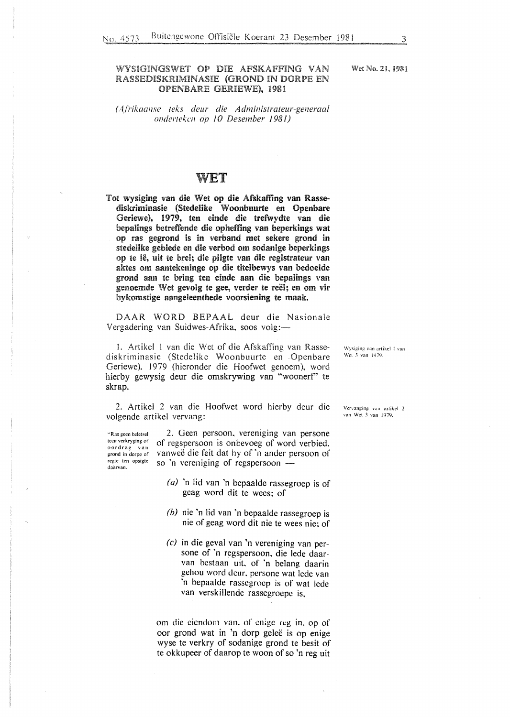#### WYSIGINGSWET OP DIE AFSKAFFING VAN RASSEDISKRIMINASIE (GROND IN DORPE EN OPENBARE GERIEWE), 1981

#### *(A.f/'ik.aanse leks deur die A dministrateur-generaal ondertekcn op 10 Desember 1981)*

#### WET

Tot wysiging van die Wet op die Afskaffing van Rassediskriminasie (Stedeiike Woonbuurte en Openbare Geriewe), 1979, ten einde die tretwydte van die bepalings betreffende die opheffing van beperkings wat op ras gegrond is in verband met sekere grond in stedelike gebiede en die verbod om sodanige beperkings op te lê, uit te brei; die pligte van die registrateur van aktes om aantekeninge op die titelbewys van bedoelde grond aan te bring ten einde aan die bepalings van genoemde Wet gevolg te gee, verder te reel; en om vir bykomsdge aangeleenthede voorsiening te maak.

DAAR WORD BEPAAL deur die Nasionale Vergadering van Suidwes-Afrika, soos volg:—

I. Artike! l van die Wet of die Afskaffing van Rassediskriminasie (Stedelike Woonbuurte en Openbare Geriewe), 1979 (hieronder die Hoofwet genoem), word hierby gewysig deur die omskrywing van "woonerf' te skrap.

2. Artikel 2 van die Hoofwet word hierby deur die volgende artikel vervang:

"Ras geen beletsel teen verkryging. of oordrag van grond in dorpe of rcgtc ten opsigtc daarvan.

2. Geen persoon, vereniging van persone of regspersoon is onbevoeg of word verbied, vanweë die feit dat hy of 'n ander persoon of so 'n vereniging of regspersoon  $-$ 

- (a) 'n lid van 'n bepaalde rassegroep is of geag word dit te wees; of
- *(b)* nie 'n lid van 'n bepaalde rassegroep is nie of geag word dit nie te wees nie; of
- (c) in die geval van 'n vereniging van persone of 'n regspersoon, die lede daarvan bestaan uit, of 'n belang daarin gehou word dcur, persone wat lede van 'n bepaalde rasscgroep is of wat lede van verskillende rassegroepe is.

om die ciendorn van, of enige reg in, op of oor grond wat in 'n dorp gelee is op enige wyse te verkry of sodanige grond te besit of te okkupeer of daarop te woon of so 'n reg uit Wysiging van artikel 1 van Wet *3* van 1979.

Vcrvanging van artikel 2 van Wet 3 van 1979.

Wet No. 21, 198!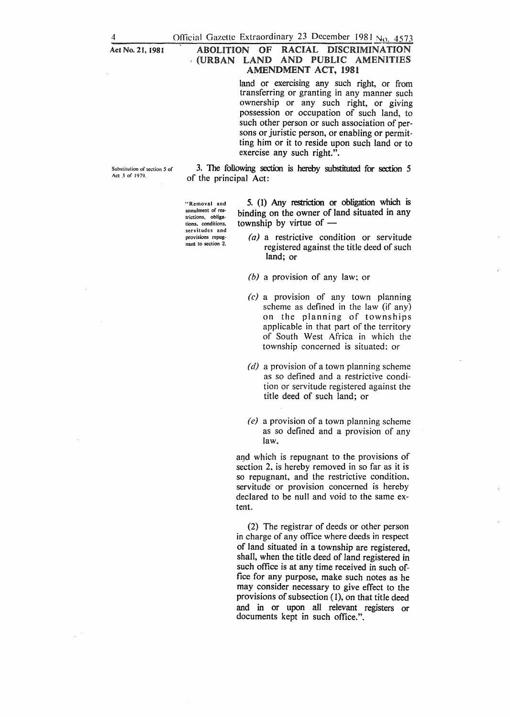#### Act No. 21, 1981 ABOLITION OF RACIAL DISCRIMINATION <sup>I</sup>(URBAN LAND AND PUBLIC AMENITIES AMENDMENT ACT, 1981

land or exercising any such right, or from transferring or granting in any manner such ownership or any such right, or giving possession or occupation of such land, to such other person or such association of persons or juristic person, or enabling or permitting him or it to reside upon such land or to exercise any such right.".

**Substitution of section** *5* **of**  Act *3* of 1979.

3. The following section is hereby substituted for section *5*  of the principal Act:

**"Removal and**  annulment of restrictions, obligations, conditions, servitudes and provisions repugnant to section 2.

5. (1) Any restriction or obligation which is binding on the owner of land situated in any township by virtue of  $-$ 

- (a) a restrictive condition or servitude registered against the title deed of such land; or
- *(b)* a provision of any law; or
- $(c)$  a provision of any town planning scheme as defined in the law (if any) on the planning of townships applicable in that part of the territory of South West Africa in which the township concerned is situated: or
- *(d)* a provision of a town planning scheme as so defined and a restrictive condition or servitude registered against the title deed of such land; or
- *(e)* a provision of a town planning scheme as so defined and a provision of any law.

and which is repugnant to the provisions of section 2, is hereby removed in so far as it is so repugnant, and the restrictive condition, servitude or provision concerned is hereby declared to be null and void to the same extent.

(2) The registrar of deeds or other person in charge of any office where deeds in respect of land situated in a township are registered, shall, when the title deed of land registered in such office is at any time received in such office for any purpose, make such notes as he may consider necessary to give effect to the provisions of subsection  $(1)$ , on that title deed and in or upon all relevant registers or documents kept in such office.".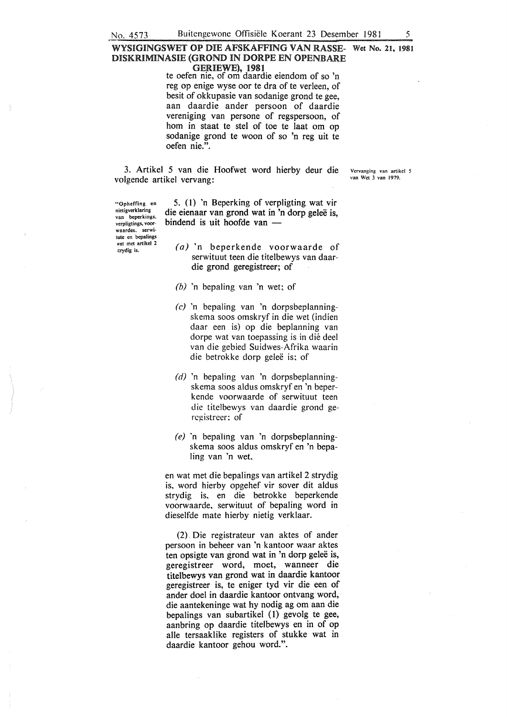#### WYSIGINGSWET OP DIE AFSKAFFING VAN RASSE- Wet No. 21, 1981 DISKRIMINASIE (GROND IN DORPE EN OPENBARE GERIEWE), 1981

te oefen nie, of om daardie eiendom of so 'n reg op enige wyse oor te dra of te verleen, of besit of okkupasie van sodanige grond te gee, aan daardie ander persoon of daardie vereniging van persone of regspersoon, of hom in staat te stel of toe te laat om op sodanige grond te woon of so 'n reg uit te oefen nie.".

3. Artikel 5 van die Hoofwet word hierby deur die volgende artikel vervang:

Vervanging van artikel *5*  van Wet 3 van 1979.

"Opheffing en nietigverklaring van beperkings, verpligtings, voor· **waardes.** serwi~ tute en bepalings wat met artikel 2 :trydig is.

5. ( 1) 'n Beperking of verpligting wat vir die eienaar van grond wat in 'n dorp geleë is. bindend is uit hoofde van  $-$ 

- (a) 'n beperkende voorwaarde of serwituut teen die titelbewys van daardie grond geregistreer; of
- *(b)* 'n bepaling van 'n wet; of
- (c) 'n bepaling van 'n dorpsbeplanningskema soos omskryf in die wet (indien daar een is) op die beplanning van dorpe wat van toepassing is in die dee! van die gebied Suidwes-Afrika waarin die betrokke dorp geleë is; of
- *(d)* 'n bepaling van 'n dorpsbeplanningskema soos aldus omskryf en 'n beperkende voorwaarde of serwituut teen die titelbewys van daardie grond gercgistreer: of
- *(e)* 'n bepaling van 'n dorpsbeplanningskema soos aldus omskryf en 'n bepaling van 'n wet,

en wat met die bepalings van artikel 2 strydig is, word hierby opgehef vir sover dit aldus strydig is, en die betrokke beperkende voorwaarde, serwituut of bepaling word in dieselfde mate hierby nietig verklaar.

(2). Die registrateur van aktes of ander persoon in beheer van 'n kantoor waar aktes ten opsigte van grond wat in 'n dorp geleë is, geregistreer word, moet, wanneer die titelbewys van grond wat in daardie kantoor geregistreer is, te eniger tyd vir die een of ander doel in daardie kantoor ontvang word, die aantekeninge wat hy nodig ag om aan die bepalings van subartikel (1) gevolg te gee, aanbring op daardie titelbewys en in of op aile tersaaklike registers of stukke wat in daardie kantoor gehou word.".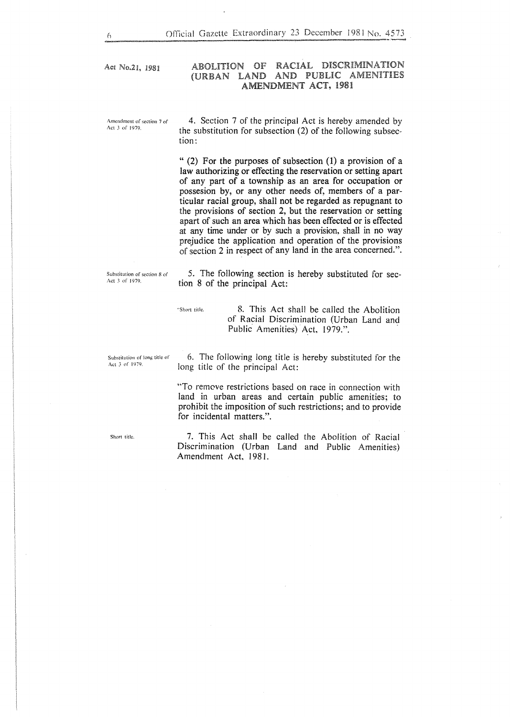Act No.21, 1981

#### ABOLITION OF RACIAL DISCRIMINATION (URBAN LAND AND PUBLIC AMENITIES AMENDMENT ACT,

Amendment of section 7 of Act J of 1979.

4. Section 7 of the principal Act is hereby amended by the substitution for subsection (2) of the following subsection:

" (2) For the purposes of subsection (1) a provision of a law authorizing or effecting the reservation or setting apart of any part of a township as an area for occupation or possesion by, or any other needs of, members of a particular racial group, shall not be regarded as repugnant to the provisions of section 2, but the reservation or setting apart of such an area which has been effected or is effected at any time under or by such a provision, shall in no way prejudice the application and operation of the provisions of section 2 in respect of any land in the area concerned.".

Substitution of section 8 of Act 3 of 1979.

*5.* The following section is hereby substituted for section 8 of the principal Act:

of Racial Discrimination (Urban Land and

"Short title. 8. This Act shall be called the Abolition"

Substitution of long title of Act J of 1979.

6. The following long title is hereby substituted for the long title of the principal Act:

Public Amenities) Act, 1979.".

"To remeve restrictions based on race in connection with land in urban areas and certain public amenities; to prohibit the imposition of such restrictions; and to provide for incidental matters.".

Short title.

7. This Act shall be called the Abolition of Racial Discrimination (Urban Land and Public Amenities) Amendment Act, 1981.